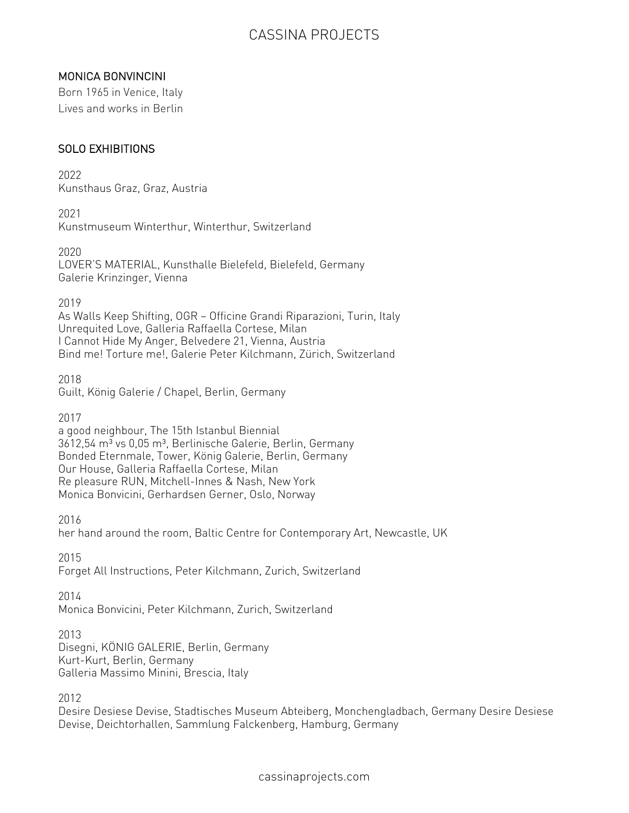### MONICA BONVINCINI

Born 1965 in Venice, Italy Lives and works in Berlin

#### SOLO EXHIBITIONS

2022 Kunsthaus Graz, Graz, Austria

2021 Kunstmuseum Winterthur, Winterthur, Switzerland

2020 LOVER'S MATERIAL, Kunsthalle Bielefeld, Bielefeld, Germany Galerie Krinzinger, Vienna

2019

As Walls Keep Shifting, OGR — Officine Grandi Riparazioni, Turin, Italy Unrequited Love, Galleria Raffaella Cortese, Milan I Cannot Hide My Anger, Belvedere 21, Vienna, Austria Bind me! Torture me!, Galerie Peter Kilchmann, Zürich, Switzerland

2018 Guilt, König Galerie / Chapel, Berlin, Germany

2017

a good neighbour, The 15th Istanbul Biennial  $3612,54$  m<sup>3</sup> vs 0,05 m<sup>3</sup>, Berlinische Galerie, Berlin, Germany Bonded Eternmale, Tower, König Galerie, Berlin, Germany Our House, Galleria Raffaella Cortese, Milan Re pleasure RUN, Mitchell-Innes & Nash, New York Monica Bonvicini, Gerhardsen Gerner, Oslo, Norway

2016

her hand around the room, Baltic Centre for Contemporary Art, Newcastle, UK

2015

Forget All Instructions, Peter Kilchmann, Zurich, Switzerland

2014

Monica Bonvicini, Peter Kilchmann, Zurich, Switzerland

2013

Disegni, KÖNIG GALERIE, Berlin, Germany Kurt-Kurt, Berlin, Germany Galleria Massimo Minini, Brescia, Italy

2012

Desire Desiese Devise, Stadtisches Museum Abteiberg, Monchengladbach, Germany Desire Desiese Devise, Deichtorhallen, Sammlung Falckenberg, Hamburg, Germany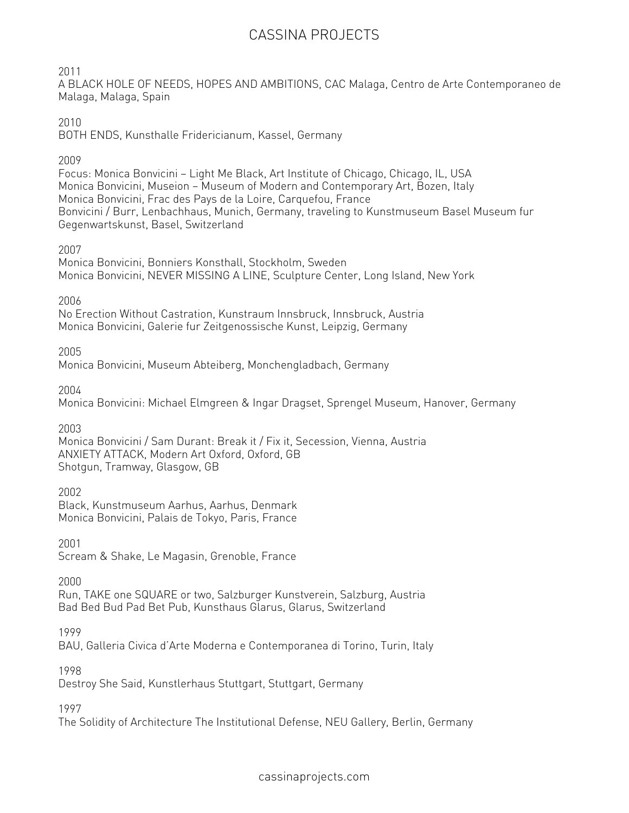2011

A BLACK HOLE OF NEEDS, HOPES AND AMBITIONS, CAC Malaga, Centro de Arte Contemporaneo de Malaga, Malaga, Spain

#### 2010

BOTH ENDS, Kunsthalle Fridericianum, Kassel, Germany

2009

Focus: Monica Bonvicini — Light Me Black, Art Institute of Chicago, Chicago, IL, USA Monica Bonvicini, Museion — Museum of Modern and Contemporary Art, Bozen, Italy Monica Bonvicini, Frac des Pays de la Loire, Carquefou, France Bonvicini / Burr, Lenbachhaus, Munich, Germany, traveling to Kunstmuseum Basel Museum fur Gegenwartskunst, Basel, Switzerland

#### 2007

Monica Bonvicini, Bonniers Konsthall, Stockholm, Sweden Monica Bonvicini, NEVER MISSING A LINE, Sculpture Center, Long Island, New York

#### 2006

No Erection Without Castration, Kunstraum Innsbruck, Innsbruck, Austria Monica Bonvicini, Galerie fur Zeitgenossische Kunst, Leipzig, Germany

2005

Monica Bonvicini, Museum Abteiberg, Monchengladbach, Germany

2004

Monica Bonvicini: Michael Elmgreen & Ingar Dragset, Sprengel Museum, Hanover, Germany

2003

Monica Bonvicini / Sam Durant: Break it / Fix it, Secession, Vienna, Austria ANXIETY ATTACK, Modern Art Oxford, Oxford, GB Shotgun, Tramway, Glasgow, GB

### 2002

Black, Kunstmuseum Aarhus, Aarhus, Denmark Monica Bonvicini, Palais de Tokyo, Paris, France

2001

Scream & Shake, Le Magasin, Grenoble, France

2000

Run, TAKE one SQUARE or two, Salzburger Kunstverein, Salzburg, Austria Bad Bed Bud Pad Bet Pub, Kunsthaus Glarus, Glarus, Switzerland

1999

BAU, Galleria Civica d'Arte Moderna e Contemporanea di Torino, Turin, Italy

1998

Destroy She Said, Kunstlerhaus Stuttgart, Stuttgart, Germany

1997

The Solidity of Architecture The Institutional Defense, NEU Gallery, Berlin, Germany

cassinaprojects.com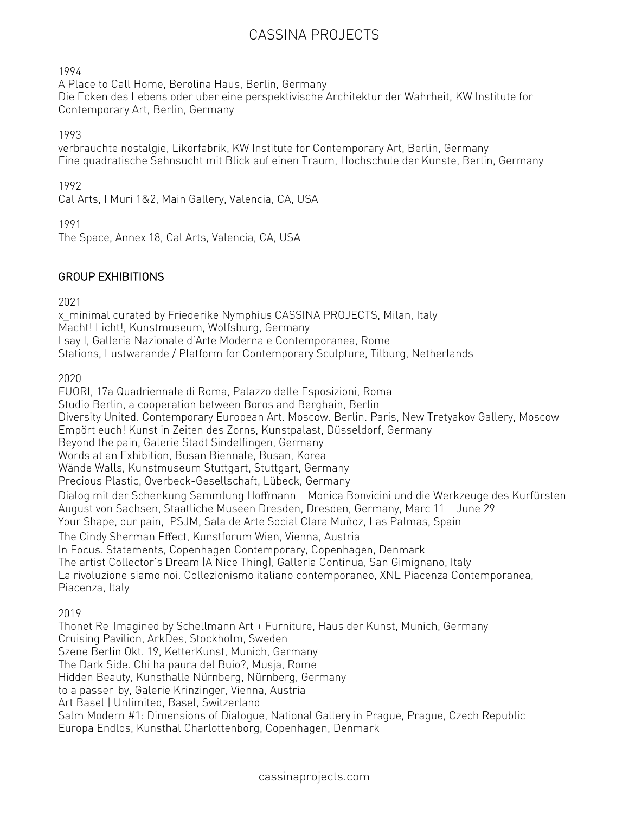1994

A Place to Call Home, Berolina Haus, Berlin, Germany

Die Ecken des Lebens oder uber eine perspektivische Architektur der Wahrheit, KW Institute for Contemporary Art, Berlin, Germany

1993

verbrauchte nostalgie, Likorfabrik, KW Institute for Contemporary Art, Berlin, Germany Eine quadratische Sehnsucht mit Blick auf einen Traum, Hochschule der Kunste, Berlin, Germany

1992

Cal Arts, I Muri 1&2, Main Gallery, Valencia, CA, USA

1991

The Space, Annex 18, Cal Arts, Valencia, CA, USA

### GROUP EXHIBITIONS

2021

x\_minimal curated by Friederike Nymphius CASSINA PROJECTS, Milan, Italy Macht! Licht!, Kunstmuseum, Wolfsburg, Germany I say I, Galleria Nazionale d'Arte Moderna e Contemporanea, Rome Stations, Lustwarande / Platform for Contemporary Sculpture, Tilburg, Netherlands

2020

FUORI, 17a Quadriennale di Roma, Palazzo delle Esposizioni, Roma Studio Berlin, a cooperation between Boros and Berghain, Berlin Diversity United. Contemporary European Art. Moscow. Berlin. Paris, New Tretyakov Gallery, Moscow Empört euch! Kunst in Zeiten des Zorns, Kunstpalast, Düsseldorf, Germany Beyond the pain, Galerie Stadt Sindelfingen, Germany Words at an Exhibition, Busan Biennale, Busan, Korea Wände Walls, Kunstmuseum Stuttgart, Stuttgart, Germany Precious Plastic, Overbeck-Gesellschaft, Lübeck, Germany Dialog mit der Schenkung Sammlung Hoffmann — Monica Bonvicini und die Werkzeuge des Kurfürsten August von Sachsen, Staatliche Museen Dresden, Dresden, Germany, Marc 11 — June 29 Your Shape, our pain, PSJM, Sala de Arte Social Clara Muñoz, Las Palmas, Spain The Cindy Sherman Effect, Kunstforum Wien, Vienna, Austria In Focus. Statements, Copenhagen Contemporary, Copenhagen, Denmark The artist Collector's Dream (A Nice Thing), Galleria Continua, San Gimignano, Italy La rivoluzione siamo noi. Collezionismo italiano contemporaneo, XNL Piacenza Contemporanea, Piacenza, Italy

2019

Thonet Re-Imagined by Schellmann Art + Furniture, Haus der Kunst, Munich, Germany Cruising Pavilion, ArkDes, Stockholm, Sweden Szene Berlin Okt. 19, KetterKunst, Munich, Germany The Dark Side. Chi ha paura del Buio?, Musja, Rome Hidden Beauty, Kunsthalle Nürnberg, Nürnberg, Germany to a passer-by, Galerie Krinzinger, Vienna, Austria Art Basel | Unlimited, Basel, Switzerland Salm Modern #1: Dimensions of Dialogue, National Gallery in Prague, Prague, Czech Republic Europa Endlos, Kunsthal Charlottenborg, Copenhagen, Denmark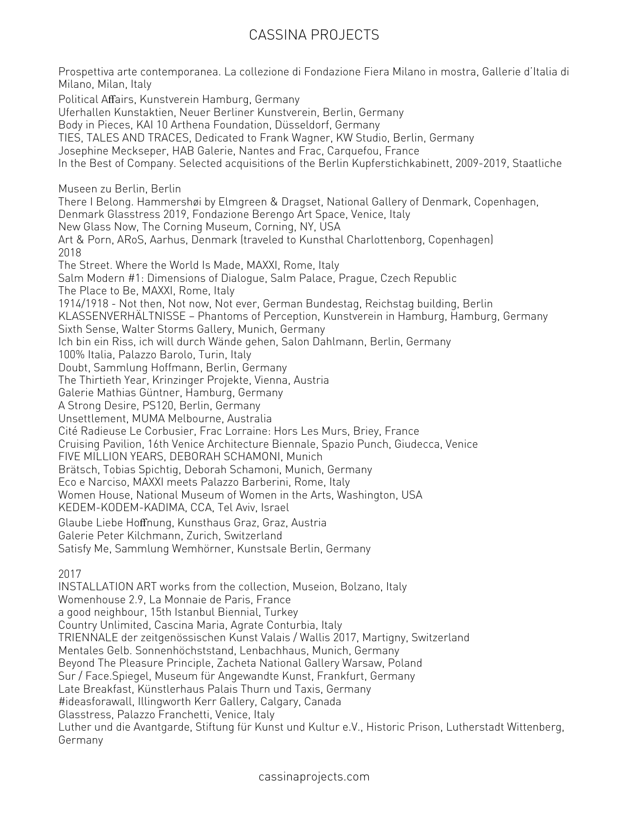Prospettiva arte contemporanea. La collezione di Fondazione Fiera Milano in mostra, Gallerie d'Italia di Milano, Milan, Italy Political Affairs, Kunstverein Hamburg, Germany Uferhallen Kunstaktien, Neuer Berliner Kunstverein, Berlin, Germany Body in Pieces, KAI 10 Arthena Foundation, Düsseldorf, Germany TIES, TALES AND TRACES, Dedicated to Frank Wagner, KW Studio, Berlin, Germany Josephine Meckseper, HAB Galerie, Nantes and Frac, Carquefou, France In the Best of Company. Selected acquisitions of the Berlin Kupferstichkabinett, 2009-2019, Staatliche Museen zu Berlin, Berlin There I Belong. Hammershøi by Elmgreen & Dragset, National Gallery of Denmark, Copenhagen, Denmark Glasstress 2019, Fondazione Berengo Art Space, Venice, Italy New Glass Now, The Corning Museum, Corning, NY, USA Art & Porn, ARoS, Aarhus, Denmark (traveled to Kunsthal Charlottenborg, Copenhagen) 2018 The Street. Where the World Is Made, MAXXI, Rome, Italy Salm Modern #1: Dimensions of Dialogue, Salm Palace, Prague, Czech Republic The Place to Be, MAXXI, Rome, Italy 1914/1918 - Not then, Not now, Not ever, German Bundestag, Reichstag building, Berlin KLASSENVERHÄLTNISSE — Phantoms of Perception, Kunstverein in Hamburg, Hamburg, Germany Sixth Sense, Walter Storms Gallery, Munich, Germany Ich bin ein Riss, ich will durch Wände gehen, Salon Dahlmann, Berlin, Germany 100% Italia, Palazzo Barolo, Turin, Italy Doubt, Sammlung Hoffmann, Berlin, Germany The Thirtieth Year, Krinzinger Projekte, Vienna, Austria Galerie Mathias Güntner, Hamburg, Germany A Strong Desire, PS120, Berlin, Germany Unsettlement, MUMA Melbourne, Australia Cité Radieuse Le Corbusier, Frac Lorraine: Hors Les Murs, Briey, France Cruising Pavilion, 16th Venice Architecture Biennale, Spazio Punch, Giudecca, Venice FIVE MILLION YEARS, DEBORAH SCHAMONI, Munich Brätsch, Tobias Spichtig, Deborah Schamoni, Munich, Germany Eco e Narciso, MAXXI meets Palazzo Barberini, Rome, Italy Women House, National Museum of Women in the Arts, Washington, USA KEDEM-KODEM-KADIMA, CCA, Tel Aviv, Israel Glaube Liebe Hoffnung, Kunsthaus Graz, Graz, Austria Galerie Peter Kilchmann, Zurich, Switzerland Satisfy Me, Sammlung Wemhörner, Kunstsale Berlin, Germany 2017 INSTALLATION ART works from the collection, Museion, Bolzano, Italy Womenhouse 2.9, La Monnaie de Paris, France a good neighbour, 15th Istanbul Biennial, Turkey Country Unlimited, Cascina Maria, Agrate Conturbia, Italy TRIENNALE der zeitgenössischen Kunst Valais / Wallis 2017, Martigny, Switzerland Mentales Gelb. Sonnenhöchststand, Lenbachhaus, Munich, Germany Beyond The Pleasure Principle, Zacheta National Gallery Warsaw, Poland Sur / Face.Spiegel, Museum für Angewandte Kunst, Frankfurt, Germany Late Breakfast, Künstlerhaus Palais Thurn und Taxis, Germany #ideasforawall, Illingworth Kerr Gallery, Calgary, Canada Glasstress, Palazzo Franchetti, Venice, Italy Luther und die Avantgarde, Stiftung für Kunst und Kultur e.V., Historic Prison, Lutherstadt Wittenberg,

Germany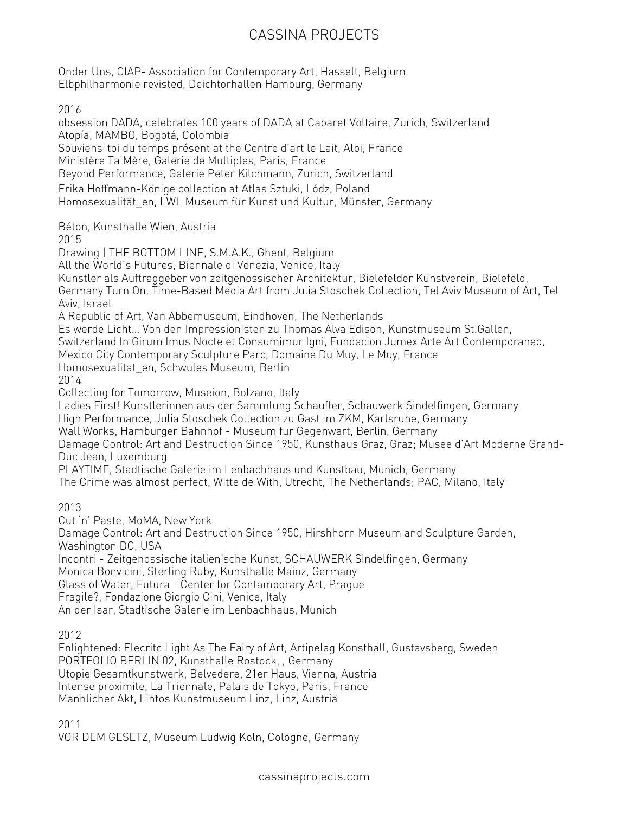Onder Uns, CIAP- Association for Contemporary Art, Hasselt, Belgium Elbphilharmonie revisted, Deichtorhallen Hamburg, Germany

2016

obsession DADA, celebrates 100 years of DADA at Cabaret Voltaire, Zurich, Switzerland Atopía, MAMBO, Bogotá, Colombia Souviens-toi du temps présent at the Centre d'art le Lait, Albi, France Ministère Ta Mère, Galerie de Multiples, Paris, France Beyond Performance, Galerie Peter Kilchmann, Zurich, Switzerland Erika Hoffmann-Könige collection at Atlas Sztuki, Lódz, Poland Homosexualität\_en, LWL Museum für Kunst und Kultur, Münster, Germany Béton, Kunsthalle Wien, Austria 2015 Drawing | THE BOTTOM LINE, S.M.A.K., Ghent, Belgium All the World's Futures, Biennale di Venezia, Venice, Italy Kunstler als Auftraggeber von zeitgenossischer Architektur, Bielefelder Kunstverein, Bielefeld, Germany Turn On. Time-Based Media Art from Julia Stoschek Collection, Tel Aviv Museum of Art, Tel Aviv, Israel A Republic of Art, Van Abbemuseum, Eindhoven, The Netherlands Es werde Licht… Von den Impressionisten zu Thomas Alva Edison, Kunstmuseum St.Gallen, Switzerland In Girum Imus Nocte et Consumimur Igni, Fundacion Jumex Arte Art Contemporaneo, Mexico City Contemporary Sculpture Parc, Domaine Du Muy, Le Muy, France Homosexualitat\_en, Schwules Museum, Berlin 2014 Collecting for Tomorrow, Museion, Bolzano, Italy Ladies First! Kunstlerinnen aus der Sammlung Schaufler, Schauwerk Sindelfingen, Germany High Performance, Julia Stoschek Collection zu Gast im ZKM, Karlsruhe, Germany Wall Works, Hamburger Bahnhof - Museum fur Gegenwart, Berlin, Germany Damage Control: Art and Destruction Since 1950, Kunsthaus Graz, Graz; Musee d'Art Moderne Grand-Duc Jean, Luxemburg PLAYTIME, Stadtische Galerie im Lenbachhaus und Kunstbau, Munich, Germany The Crime was almost perfect, Witte de With, Utrecht, The Netherlands; PAC, Milano, Italy 2013 Cut 'n' Paste, MoMA, New York Damage Control: Art and Destruction Since 1950, Hirshhorn Museum and Sculpture Garden, Washington DC, USA Incontri - Zeitgenossische italienische Kunst, SCHAUWERK Sindelfingen, Germany Monica Bonvicini, Sterling Ruby, Kunsthalle Mainz, Germany Glass of Water, Futura - Center for Contamporary Art, Prague Fragile?, Fondazione Giorgio Cini, Venice, Italy An der Isar, Stadtische Galerie im Lenbachhaus, Munich 2012 Enlightened: Elecritc Light As The Fairy of Art, Artipelag Konsthall, Gustavsberg, Sweden PORTFOLIO BERLIN 02, Kunsthalle Rostock, , Germany Utopie Gesamtkunstwerk, Belvedere, 21er Haus, Vienna, Austria Intense proximite, La Triennale, Palais de Tokyo, Paris, France

Mannlicher Akt, Lintos Kunstmuseum Linz, Linz, Austria

2011

VOR DEM GESETZ, Museum Ludwig Koln, Cologne, Germany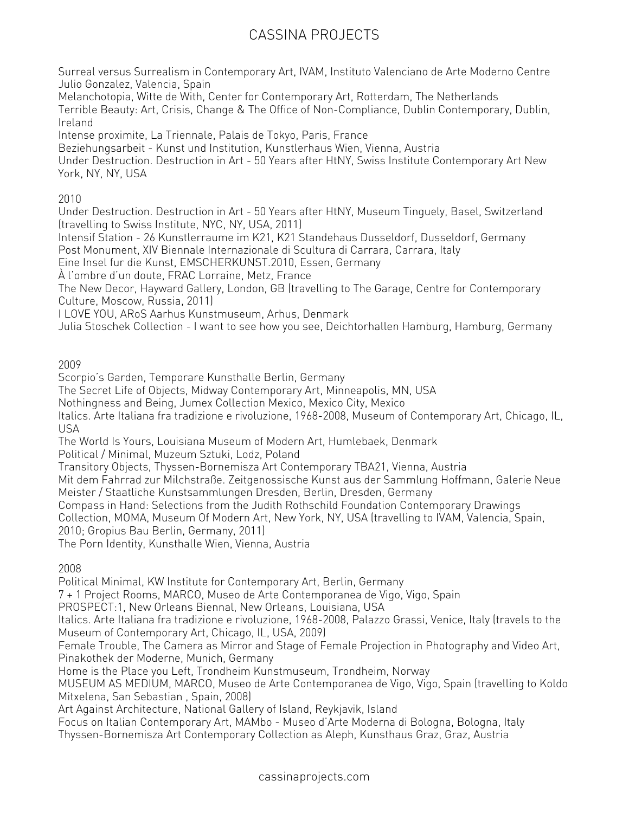Surreal versus Surrealism in Contemporary Art, IVAM, Instituto Valenciano de Arte Moderno Centre Julio Gonzalez, Valencia, Spain

Melanchotopia, Witte de With, Center for Contemporary Art, Rotterdam, The Netherlands Terrible Beauty: Art, Crisis, Change & The Office of Non-Compliance, Dublin Contemporary, Dublin, Ireland

Intense proximite, La Triennale, Palais de Tokyo, Paris, France

Beziehungsarbeit - Kunst und Institution, Kunstlerhaus Wien, Vienna, Austria

Under Destruction. Destruction in Art - 50 Years after HtNY, Swiss Institute Contemporary Art New York, NY, NY, USA

#### 2010

Under Destruction. Destruction in Art - 50 Years after HtNY, Museum Tinguely, Basel, Switzerland (travelling to Swiss Institute, NYC, NY, USA, 2011)

Intensif Station - 26 Kunstlerraume im K21, K21 Standehaus Dusseldorf, Dusseldorf, Germany Post Monument, XIV Biennale Internazionale di Scultura di Carrara, Carrara, Italy

Eine Insel fur die Kunst, EMSCHERKUNST.2010, Essen, Germany

À l'ombre d'un doute, FRAC Lorraine, Metz, France

The New Decor, Hayward Gallery, London, GB (travelling to The Garage, Centre for Contemporary Culture, Moscow, Russia, 2011)

I LOVE YOU, ARoS Aarhus Kunstmuseum, Arhus, Denmark

Julia Stoschek Collection - I want to see how you see, Deichtorhallen Hamburg, Hamburg, Germany

2009

Scorpio's Garden, Temporare Kunsthalle Berlin, Germany

The Secret Life of Objects, Midway Contemporary Art, Minneapolis, MN, USA

Nothingness and Being, Jumex Collection Mexico, Mexico City, Mexico

Italics. Arte Italiana fra tradizione e rivoluzione, 1968-2008, Museum of Contemporary Art, Chicago, IL, USA

The World Is Yours, Louisiana Museum of Modern Art, Humlebaek, Denmark

Political / Minimal, Muzeum Sztuki, Lodz, Poland

Transitory Objects, Thyssen-Bornemisza Art Contemporary TBA21, Vienna, Austria

Mit dem Fahrrad zur Milchstraße. Zeitgenossische Kunst aus der Sammlung Hoffmann, Galerie Neue Meister / Staatliche Kunstsammlungen Dresden, Berlin, Dresden, Germany

Compass in Hand: Selections from the Judith Rothschild Foundation Contemporary Drawings

Collection, MOMA, Museum Of Modern Art, New York, NY, USA (travelling to IVAM, Valencia, Spain,

2010; Gropius Bau Berlin, Germany, 2011)

The Porn Identity, Kunsthalle Wien, Vienna, Austria

2008

Political Minimal, KW Institute for Contemporary Art, Berlin, Germany

7 + 1 Project Rooms, MARCO, Museo de Arte Contemporanea de Vigo, Vigo, Spain

PROSPECT:1, New Orleans Biennal, New Orleans, Louisiana, USA

Italics. Arte Italiana fra tradizione e rivoluzione, 1968-2008, Palazzo Grassi, Venice, Italy (travels to the Museum of Contemporary Art, Chicago, IL, USA, 2009)

Female Trouble, The Camera as Mirror and Stage of Female Projection in Photography and Video Art, Pinakothek der Moderne, Munich, Germany

Home is the Place you Left, Trondheim Kunstmuseum, Trondheim, Norway

MUSEUM AS MEDIUM, MARCO, Museo de Arte Contemporanea de Vigo, Vigo, Spain (travelling to Koldo Mitxelena, San Sebastian , Spain, 2008)

Art Against Architecture, National Gallery of Island, Reykjavik, Island

Focus on Italian Contemporary Art, MAMbo - Museo d'Arte Moderna di Bologna, Bologna, Italy

Thyssen-Bornemisza Art Contemporary Collection as Aleph, Kunsthaus Graz, Graz, Austria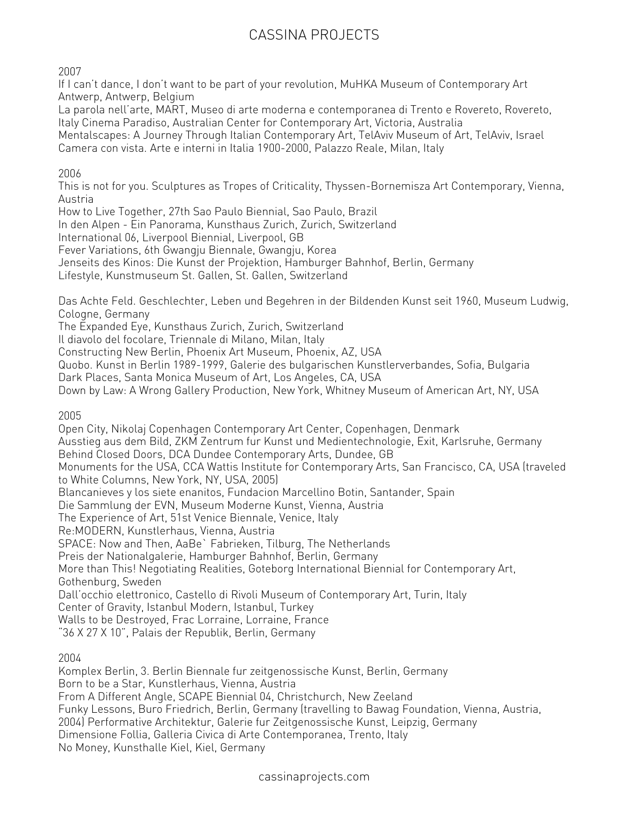2007

If I can't dance, I don't want to be part of your revolution, MuHKA Museum of Contemporary Art Antwerp, Antwerp, Belgium

La parola nell'arte, MART, Museo di arte moderna e contemporanea di Trento e Rovereto, Rovereto, Italy Cinema Paradiso, Australian Center for Contemporary Art, Victoria, Australia

Mentalscapes: A Journey Through Italian Contemporary Art, TelAviv Museum of Art, TelAviv, Israel Camera con vista. Arte e interni in Italia 1900-2000, Palazzo Reale, Milan, Italy

#### 2006

This is not for you. Sculptures as Tropes of Criticality, Thyssen-Bornemisza Art Contemporary, Vienna, Austria

How to Live Together, 27th Sao Paulo Biennial, Sao Paulo, Brazil

In den Alpen - Ein Panorama, Kunsthaus Zurich, Zurich, Switzerland

International 06, Liverpool Biennial, Liverpool, GB

Fever Variations, 6th Gwangju Biennale, Gwangju, Korea

Jenseits des Kinos: Die Kunst der Projektion, Hamburger Bahnhof, Berlin, Germany

Lifestyle, Kunstmuseum St. Gallen, St. Gallen, Switzerland

Das Achte Feld. Geschlechter, Leben und Begehren in der Bildenden Kunst seit 1960, Museum Ludwig, Cologne, Germany

The Expanded Eye, Kunsthaus Zurich, Zurich, Switzerland

Il diavolo del focolare, Triennale di Milano, Milan, Italy

Constructing New Berlin, Phoenix Art Museum, Phoenix, AZ, USA

Quobo. Kunst in Berlin 1989-1999, Galerie des bulgarischen Kunstlerverbandes, Sofia, Bulgaria

Dark Places, Santa Monica Museum of Art, Los Angeles, CA, USA

Down by Law: A Wrong Gallery Production, New York, Whitney Museum of American Art, NY, USA

2005

Open City, Nikolaj Copenhagen Contemporary Art Center, Copenhagen, Denmark Ausstieg aus dem Bild, ZKM Zentrum fur Kunst und Medientechnologie, Exit, Karlsruhe, Germany Behind Closed Doors, DCA Dundee Contemporary Arts, Dundee, GB Monuments for the USA, CCA Wattis Institute for Contemporary Arts, San Francisco, CA, USA (traveled to White Columns, New York, NY, USA, 2005) Blancanieves y los siete enanitos, Fundacion Marcellino Botin, Santander, Spain Die Sammlung der EVN, Museum Moderne Kunst, Vienna, Austria The Experience of Art, 51st Venice Biennale, Venice, Italy Re:MODERN, Kunstlerhaus, Vienna, Austria SPACE: Now and Then, AaBe` Fabrieken, Tilburg, The Netherlands Preis der Nationalgalerie, Hamburger Bahnhof, Berlin, Germany More than This! Negotiating Realities, Goteborg International Biennial for Contemporary Art, Gothenburg, Sweden Dall'occhio elettronico, Castello di Rivoli Museum of Contemporary Art, Turin, Italy Center of Gravity, Istanbul Modern, Istanbul, Turkey Walls to be Destroyed, Frac Lorraine, Lorraine, France "36 X 27 X 10", Palais der Republik, Berlin, Germany

2004

Komplex Berlin, 3. Berlin Biennale fur zeitgenossische Kunst, Berlin, Germany Born to be a Star, Kunstlerhaus, Vienna, Austria From A Different Angle, SCAPE Biennial 04, Christchurch, New Zeeland Funky Lessons, Buro Friedrich, Berlin, Germany (travelling to Bawag Foundation, Vienna, Austria, 2004) Performative Architektur, Galerie fur Zeitgenossische Kunst, Leipzig, Germany Dimensione Follia, Galleria Civica di Arte Contemporanea, Trento, Italy No Money, Kunsthalle Kiel, Kiel, Germany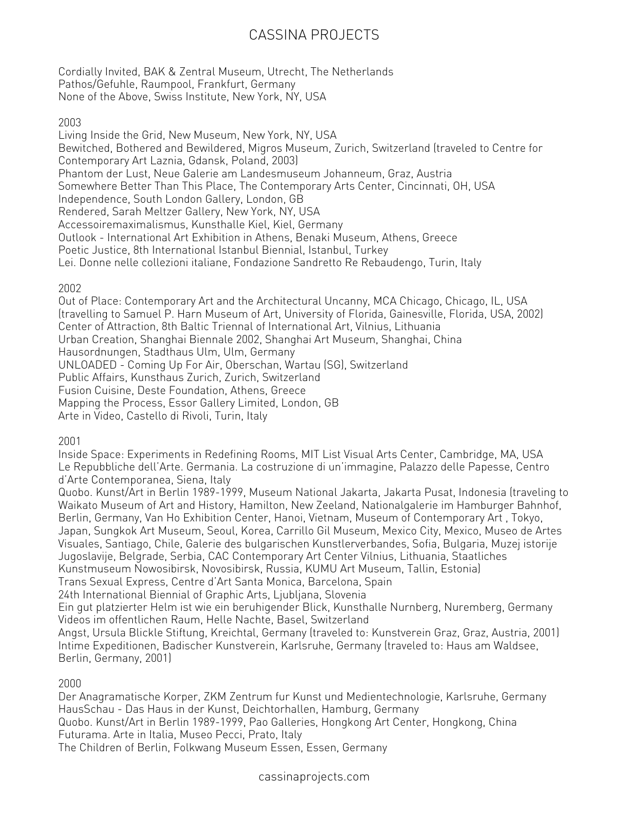Cordially Invited, BAK & Zentral Museum, Utrecht, The Netherlands Pathos/Gefuhle, Raumpool, Frankfurt, Germany None of the Above, Swiss Institute, New York, NY, USA

#### 2003

Living Inside the Grid, New Museum, New York, NY, USA Bewitched, Bothered and Bewildered, Migros Museum, Zurich, Switzerland (traveled to Centre for Contemporary Art Laznia, Gdansk, Poland, 2003) Phantom der Lust, Neue Galerie am Landesmuseum Johanneum, Graz, Austria Somewhere Better Than This Place, The Contemporary Arts Center, Cincinnati, OH, USA Independence, South London Gallery, London, GB Rendered, Sarah Meltzer Gallery, New York, NY, USA Accessoiremaximalismus, Kunsthalle Kiel, Kiel, Germany Outlook - International Art Exhibition in Athens, Benaki Museum, Athens, Greece Poetic Justice, 8th International Istanbul Biennial, Istanbul, Turkey Lei. Donne nelle collezioni italiane, Fondazione Sandretto Re Rebaudengo, Turin, Italy

#### 2002

Out of Place: Contemporary Art and the Architectural Uncanny, MCA Chicago, Chicago, IL, USA (travelling to Samuel P. Harn Museum of Art, University of Florida, Gainesville, Florida, USA, 2002) Center of Attraction, 8th Baltic Triennal of International Art, Vilnius, Lithuania Urban Creation, Shanghai Biennale 2002, Shanghai Art Museum, Shanghai, China Hausordnungen, Stadthaus Ulm, Ulm, Germany UNLOADED - Coming Up For Air, Oberschan, Wartau (SG), Switzerland Public Affairs, Kunsthaus Zurich, Zurich, Switzerland Fusion Cuisine, Deste Foundation, Athens, Greece Mapping the Process, Essor Gallery Limited, London, GB Arte in Video, Castello di Rivoli, Turin, Italy

2001

Inside Space: Experiments in Redefining Rooms, MIT List Visual Arts Center, Cambridge, MA, USA Le Repubbliche dell'Arte. Germania. La costruzione di un'immagine, Palazzo delle Papesse, Centro d'Arte Contemporanea, Siena, Italy

Quobo. Kunst/Art in Berlin 1989-1999, Museum National Jakarta, Jakarta Pusat, Indonesia (traveling to Waikato Museum of Art and History, Hamilton, New Zeeland, Nationalgalerie im Hamburger Bahnhof, Berlin, Germany, Van Ho Exhibition Center, Hanoi, Vietnam, Museum of Contemporary Art , Tokyo, Japan, Sungkok Art Museum, Seoul, Korea, Carrillo Gil Museum, Mexico City, Mexico, Museo de Artes Visuales, Santiago, Chile, Galerie des bulgarischen Kunstlerverbandes, Sofia, Bulgaria, Muzej istorije Jugoslavije, Belgrade, Serbia, CAC Contemporary Art Center Vilnius, Lithuania, Staatliches Kunstmuseum Nowosibirsk, Novosibirsk, Russia, KUMU Art Museum, Tallin, Estonia)

Trans Sexual Express, Centre d'Art Santa Monica, Barcelona, Spain

24th International Biennial of Graphic Arts, Ljubljana, Slovenia

Ein gut platzierter Helm ist wie ein beruhigender Blick, Kunsthalle Nurnberg, Nuremberg, Germany Videos im offentlichen Raum, Helle Nachte, Basel, Switzerland

Angst, Ursula Blickle Stiftung, Kreichtal, Germany (traveled to: Kunstverein Graz, Graz, Austria, 2001) Intime Expeditionen, Badischer Kunstverein, Karlsruhe, Germany (traveled to: Haus am Waldsee, Berlin, Germany, 2001)

#### 2000

Der Anagramatische Korper, ZKM Zentrum fur Kunst und Medientechnologie, Karlsruhe, Germany HausSchau - Das Haus in der Kunst, Deichtorhallen, Hamburg, Germany

Quobo. Kunst/Art in Berlin 1989-1999, Pao Galleries, Hongkong Art Center, Hongkong, China Futurama. Arte in Italia, Museo Pecci, Prato, Italy

The Children of Berlin, Folkwang Museum Essen, Essen, Germany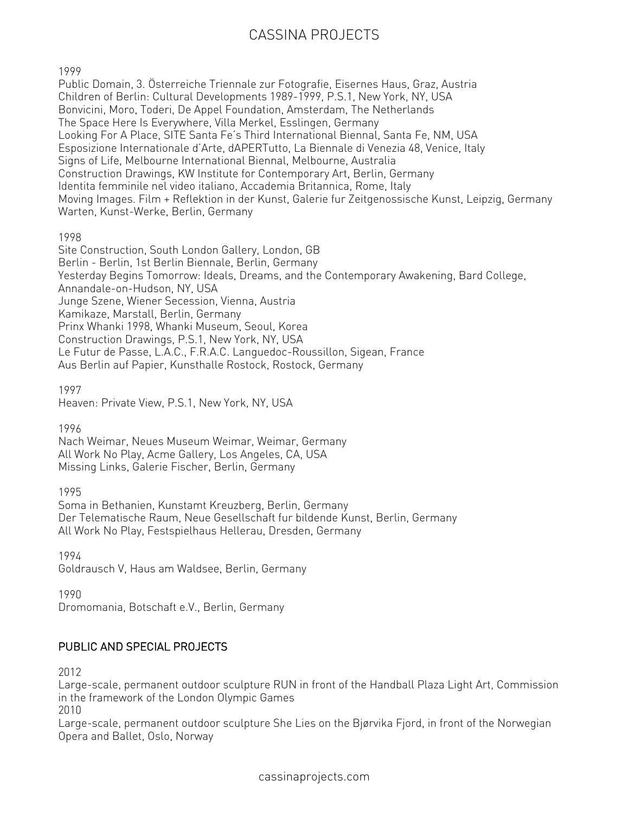#### 1999

Public Domain, 3. Österreiche Triennale zur Fotografie, Eisernes Haus, Graz, Austria Children of Berlin: Cultural Developments 1989-1999, P.S.1, New York, NY, USA Bonvicini, Moro, Toderi, De Appel Foundation, Amsterdam, The Netherlands The Space Here Is Everywhere, Villa Merkel, Esslingen, Germany Looking For A Place, SITE Santa Fe's Third International Biennal, Santa Fe, NM, USA Esposizione Internationale d'Arte, dAPERTutto, La Biennale di Venezia 48, Venice, Italy Signs of Life, Melbourne International Biennal, Melbourne, Australia Construction Drawings, KW Institute for Contemporary Art, Berlin, Germany Identita femminile nel video italiano, Accademia Britannica, Rome, Italy Moving Images. Film + Reflektion in der Kunst, Galerie fur Zeitgenossische Kunst, Leipzig, Germany Warten, Kunst-Werke, Berlin, Germany

1998

Site Construction, South London Gallery, London, GB Berlin - Berlin, 1st Berlin Biennale, Berlin, Germany Yesterday Begins Tomorrow: Ideals, Dreams, and the Contemporary Awakening, Bard College, Annandale-on-Hudson, NY, USA Junge Szene, Wiener Secession, Vienna, Austria Kamikaze, Marstall, Berlin, Germany Prinx Whanki 1998, Whanki Museum, Seoul, Korea Construction Drawings, P.S.1, New York, NY, USA Le Futur de Passe, L.A.C., F.R.A.C. Languedoc-Roussillon, Sigean, France Aus Berlin auf Papier, Kunsthalle Rostock, Rostock, Germany

1997

Heaven: Private View, P.S.1, New York, NY, USA

1996

Nach Weimar, Neues Museum Weimar, Weimar, Germany All Work No Play, Acme Gallery, Los Angeles, CA, USA Missing Links, Galerie Fischer, Berlin, Germany

1995

Soma in Bethanien, Kunstamt Kreuzberg, Berlin, Germany Der Telematische Raum, Neue Gesellschaft fur bildende Kunst, Berlin, Germany All Work No Play, Festspielhaus Hellerau, Dresden, Germany

1994 Goldrausch V, Haus am Waldsee, Berlin, Germany

1990

Dromomania, Botschaft e.V., Berlin, Germany

#### PUBLIC AND SPECIAL PROJECTS

2012

Large-scale, permanent outdoor sculpture RUN in front of the Handball Plaza Light Art, Commission in the framework of the London Olympic Games

2010

Large-scale, permanent outdoor sculpture She Lies on the Bjørvika Fjord, in front of the Norwegian Opera and Ballet, Oslo, Norway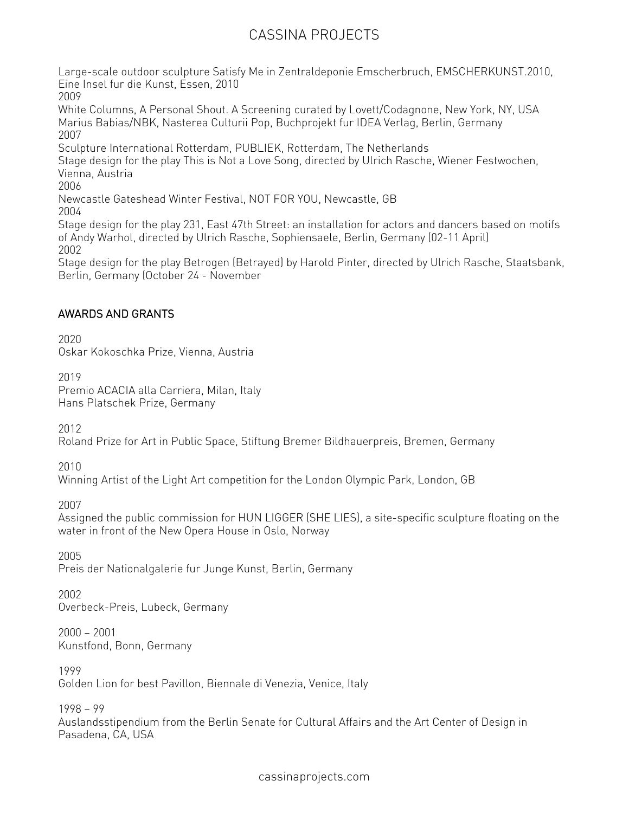Large-scale outdoor sculpture Satisfy Me in Zentraldeponie Emscherbruch, EMSCHERKUNST.2010, Eine Insel fur die Kunst, Essen, 2010 2009 White Columns, A Personal Shout. A Screening curated by Lovett/Codagnone, New York, NY, USA Marius Babias/NBK, Nasterea Culturii Pop, Buchprojekt fur IDEA Verlag, Berlin, Germany 2007 Sculpture International Rotterdam, PUBLIEK, Rotterdam, The Netherlands Stage design for the play This is Not a Love Song, directed by Ulrich Rasche, Wiener Festwochen, Vienna, Austria 2006 Newcastle Gateshead Winter Festival, NOT FOR YOU, Newcastle, GB 2004 Stage design for the play 231, East 47th Street: an installation for actors and dancers based on motifs of Andy Warhol, directed by Ulrich Rasche, Sophiensaele, Berlin, Germany (02-11 April) 2002

Stage design for the play Betrogen (Betrayed) by Harold Pinter, directed by Ulrich Rasche, Staatsbank, Berlin, Germany (October 24 - November

#### AWARDS AND GRANTS

2020 Oskar Kokoschka Prize, Vienna, Austria

2019 Premio ACACIA alla Carriera, Milan, Italy Hans Platschek Prize, Germany

2012

Roland Prize for Art in Public Space, Stiftung Bremer Bildhauerpreis, Bremen, Germany

2010

Winning Artist of the Light Art competition for the London Olympic Park, London, GB

2007

Assigned the public commission for HUN LIGGER (SHE LIES), a site-specific sculpture floating on the water in front of the New Opera House in Oslo, Norway

2005 Preis der Nationalgalerie fur Junge Kunst, Berlin, Germany

2002 Overbeck-Preis, Lubeck, Germany

2000 — 2001 Kunstfond, Bonn, Germany

1999 Golden Lion for best Pavillon, Biennale di Venezia, Venice, Italy

1998 — 99

Auslandsstipendium from the Berlin Senate for Cultural Affairs and the Art Center of Design in Pasadena, CA, USA